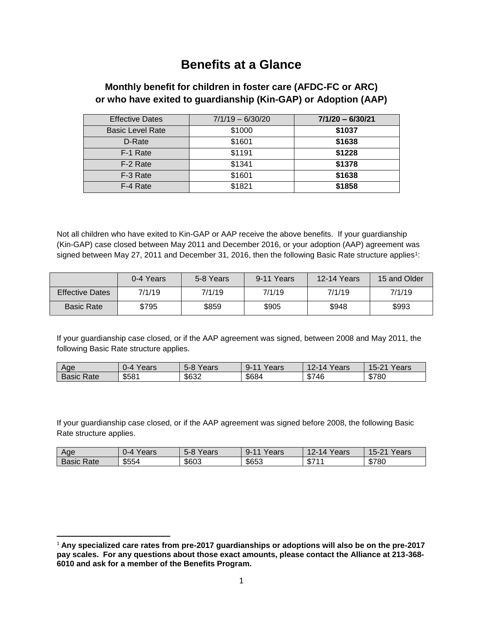# **Benefits at a Glance**

## **Monthly benefit for children in foster care (AFDC-FC or ARC) or who have exited to guardianship (Kin-GAP) or Adoption (AAP)**

| <b>Effective Dates</b>  | $7/1/19 - 6/30/20$ | $7/1/20 - 6/30/21$ |
|-------------------------|--------------------|--------------------|
| <b>Basic Level Rate</b> | \$1000             | \$1037             |
| D-Rate                  | \$1601             | \$1638             |
| F-1 Rate                | \$1191             | \$1228             |
| F-2 Rate                | \$1341             | \$1378             |
| F-3 Rate                | \$1601             | \$1638             |
| F-4 Rate                | \$1821             | \$1858             |

Not all children who have exited to Kin-GAP or AAP receive the above benefits. If your guardianship (Kin-GAP) case closed between May 2011 and December 2016, or your adoption (AAP) agreement was signed between May 27, 2011 and December 31, 2016, then the following Basic Rate structure applies<sup>1</sup>:

|                        | 0-4 Years | 5-8 Years | 9-11 Years | <b>12-14 Years</b> | 15 and Older |
|------------------------|-----------|-----------|------------|--------------------|--------------|
| <b>Effective Dates</b> | 7/1/19    | 7/1/19    | 7/1/19     | 7/1/19             | 7/1/19       |
| <b>Basic Rate</b>      | \$795     | \$859     | \$905      | \$948              | \$993        |

If your guardianship case closed, or if the AAP agreement was signed, between 2008 and May 2011, the following Basic Rate structure applies.

| Age           | oorc<br>.) – 4<br>eal S | $\overline{\phantom{0}}$<br>$\sim$<br>ears<br>א-מ | $\overline{\phantom{a}}$<br>$Q_{-}$<br>'ears | $\sim$<br>ears <sup>'</sup><br>، 4<br>44F | 04.11<br>$15 -$<br>ears<br>ືື |
|---------------|-------------------------|---------------------------------------------------|----------------------------------------------|-------------------------------------------|-------------------------------|
| Basic<br>रate | \$581                   | \$632                                             | \$684                                        | \$746                                     | \$780<br>ו סט                 |

If your guardianship case closed, or if the AAP agreement was signed before 2008, the following Basic Rate structure applies.

| Age           | 'ears<br>. J-4 | $\sim$<br>'ears<br>5-8 | $\sim$<br>Years<br>. .<br>u- | ′ears<br>$\overline{14}$ | Years<br>$15 -$<br>$\Omega$ |
|---------------|----------------|------------------------|------------------------------|--------------------------|-----------------------------|
| Basic<br>Rate | \$554          | \$603                  | \$653                        | 0744<br>- AD a           | \$780                       |

 $\overline{a}$ 

<sup>1</sup> **Any specialized care rates from pre-2017 guardianships or adoptions will also be on the pre-2017 pay scales. For any questions about those exact amounts, please contact the Alliance at 213-368- 6010 and ask for a member of the Benefits Program.**